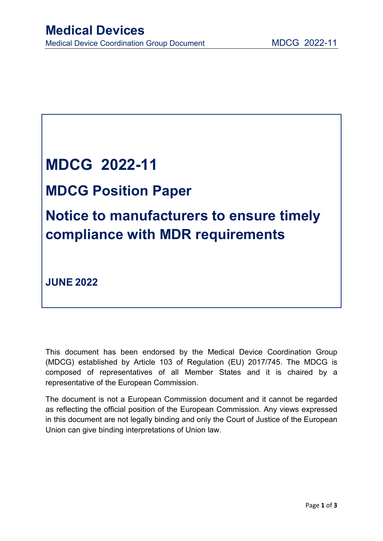

**JUNE 2022**

This document has been endorsed by the Medical Device Coordination Group (MDCG) established by Article 103 of Regulation (EU) 2017/745. The MDCG is composed of representatives of all Member States and it is chaired by a representative of the European Commission.

The document is not a European Commission document and it cannot be regarded as reflecting the official position of the European Commission. Any views expressed in this document are not legally binding and only the Court of Justice of the European Union can give binding interpretations of Union law.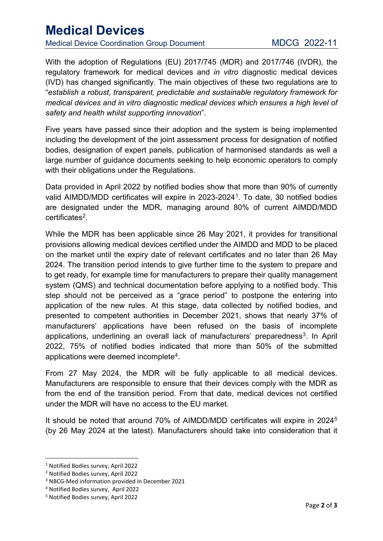## **Medical Devices**<br>
Medical Device Coordination Group Document MDCG 2022-11

With the adoption of Regulations (EU) 2017/745 (MDR) and 2017/746 (IVDR), the regulatory framework for medical devices and *in vitro* diagnostic medical devices (IVD) has changed significantly. The main objectives of these two regulations are to "*establish a robust, transparent, predictable and sustainable regulatory framework for medical devices and in vitro diagnostic medical devices which ensures a high level of safety and health whilst supporting innovation*".

Five years have passed since their adoption and the system is being implemented including the development of the joint assessment process for designation of notified bodies, designation of expert panels, publication of harmonised standards as well a large number of guidance documents seeking to help economic operators to comply with their obligations under the Regulations.

Data provided in April 2022 by notified bodies show that more than 90% of currently valid AIMDD/MDD certificates will expire in 2023-2024<sup>[1](#page-1-0)</sup>. To date, 30 notified bodies are designated under the MDR, managing around 80% of current AIMDD/MDD certificates[2](#page-1-1).

While the MDR has been applicable since 26 May 2021, it provides for transitional provisions allowing medical devices certified under the AIMDD and MDD to be placed on the market until the expiry date of relevant certificates and no later than 26 May 2024. The transition period intends to give further time to the system to prepare and to get ready, for example time for manufacturers to prepare their quality management system (QMS) and technical documentation before applying to a notified body. This step should not be perceived as a "grace period" to postpone the entering into application of the new rules. At this stage, data collected by notified bodies, and presented to competent authorities in December 2021, shows that nearly 37% of manufacturers' applications have been refused on the basis of incomplete applications, underlining an overall lack of manufacturers' preparedness<sup>[3](#page-1-2)</sup>. In April 2022, 75% of notified bodies indicated that more than 50% of the submitted applications were deemed incomplete[4.](#page-1-3)

From 27 May 2024, the MDR will be fully applicable to all medical devices. Manufacturers are responsible to ensure that their devices comply with the MDR as from the end of the transition period. From that date, medical devices not certified under the MDR will have no access to the EU market.

It should be noted that around 70% of AIMDD/MDD certificates will expire in 2024[5](#page-1-4) (by 26 May 2024 at the latest). Manufacturers should take into consideration that it

<span id="page-1-0"></span> <sup>1</sup> Notified Bodies survey, April 2022

<span id="page-1-1"></span><sup>2</sup> Notified Bodies survey, April 2022

<span id="page-1-2"></span><sup>3</sup> NBCG-Med information provided in December 2021

<span id="page-1-3"></span><sup>4</sup> Notified Bodies survey, April 2022

<span id="page-1-4"></span><sup>5</sup> Notified Bodies survey, April 2022